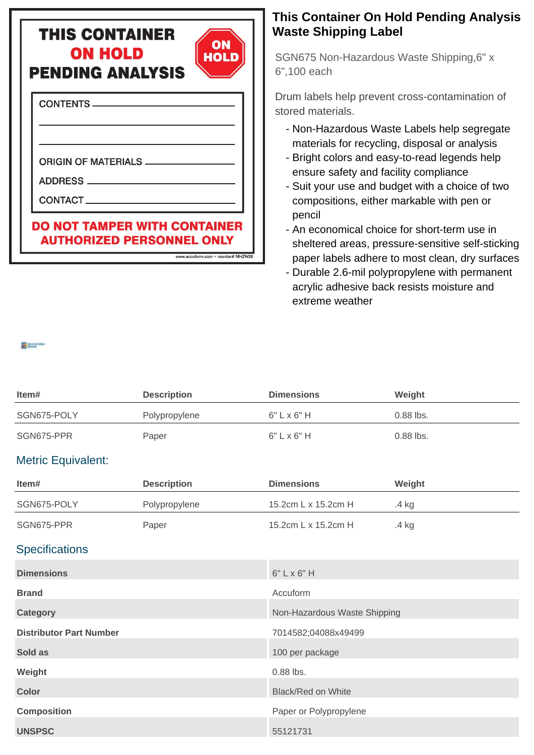## **THIS CONTAINER ON HOLD PENDING ANALYSIS**



www.accuform.com • reorder# MHZW26

**CONTENTS** 

**ORIGIN OF MATERIALS \_\_** 

ADDRESS

CONTACT

## **DO NOT TAMPER WITH CONTAINER AUTHORIZED PERSONNEL ONLY**

## **This Container On Hold Pending Analysis Waste Shipping Label**

SGN675 Non-Hazardous Waste Shipping,6" x 6",100 each

Drum labels help prevent cross-contamination of stored materials.

- Non-Hazardous Waste Labels help segregate materials for recycling, disposal or analysis
- Bright colors and easy-to-read legends help ensure safety and facility compliance
- Suit your use and budget with a choice of two compositions, either markable with pen or pencil
- An economical choice for short-term use in sheltered areas, pressure-sensitive self-sticking paper labels adhere to most clean, dry surfaces
- Durable 2.6-mil polypropylene with permanent acrylic adhesive back resists moisture and extreme weather

| Item#                          | <b>Description</b> | <b>Dimensions</b>            | Weight    |  |  |
|--------------------------------|--------------------|------------------------------|-----------|--|--|
| SGN675-POLY                    | Polypropylene      | $6"$ $L \times 6"$ H         | 0.88 lbs. |  |  |
| SGN675-PPR                     | Paper              | $6" L \times 6" H$           | 0.88 lbs. |  |  |
| <b>Metric Equivalent:</b>      |                    |                              |           |  |  |
| Item#                          | <b>Description</b> | <b>Dimensions</b>            | Weight    |  |  |
| SGN675-POLY                    | Polypropylene      | 15.2cm L x 15.2cm H          | .4 kg     |  |  |
| SGN675-PPR                     | Paper              | 15.2cm L x 15.2cm H          | .4 kg     |  |  |
| <b>Specifications</b>          |                    |                              |           |  |  |
| <b>Dimensions</b>              |                    | $6"$ L x $6"$ H              |           |  |  |
| <b>Brand</b>                   |                    | Accuform                     |           |  |  |
| <b>Category</b>                |                    | Non-Hazardous Waste Shipping |           |  |  |
| <b>Distributor Part Number</b> |                    | 7014582;04088x49499          |           |  |  |
| Sold as                        |                    | 100 per package              |           |  |  |
| Weight                         |                    | 0.88 lbs.                    |           |  |  |
| <b>Color</b>                   |                    | <b>Black/Red on White</b>    |           |  |  |
| <b>Composition</b>             |                    | Paper or Polypropylene       |           |  |  |
| <b>UNSPSC</b>                  |                    | 55121731                     |           |  |  |